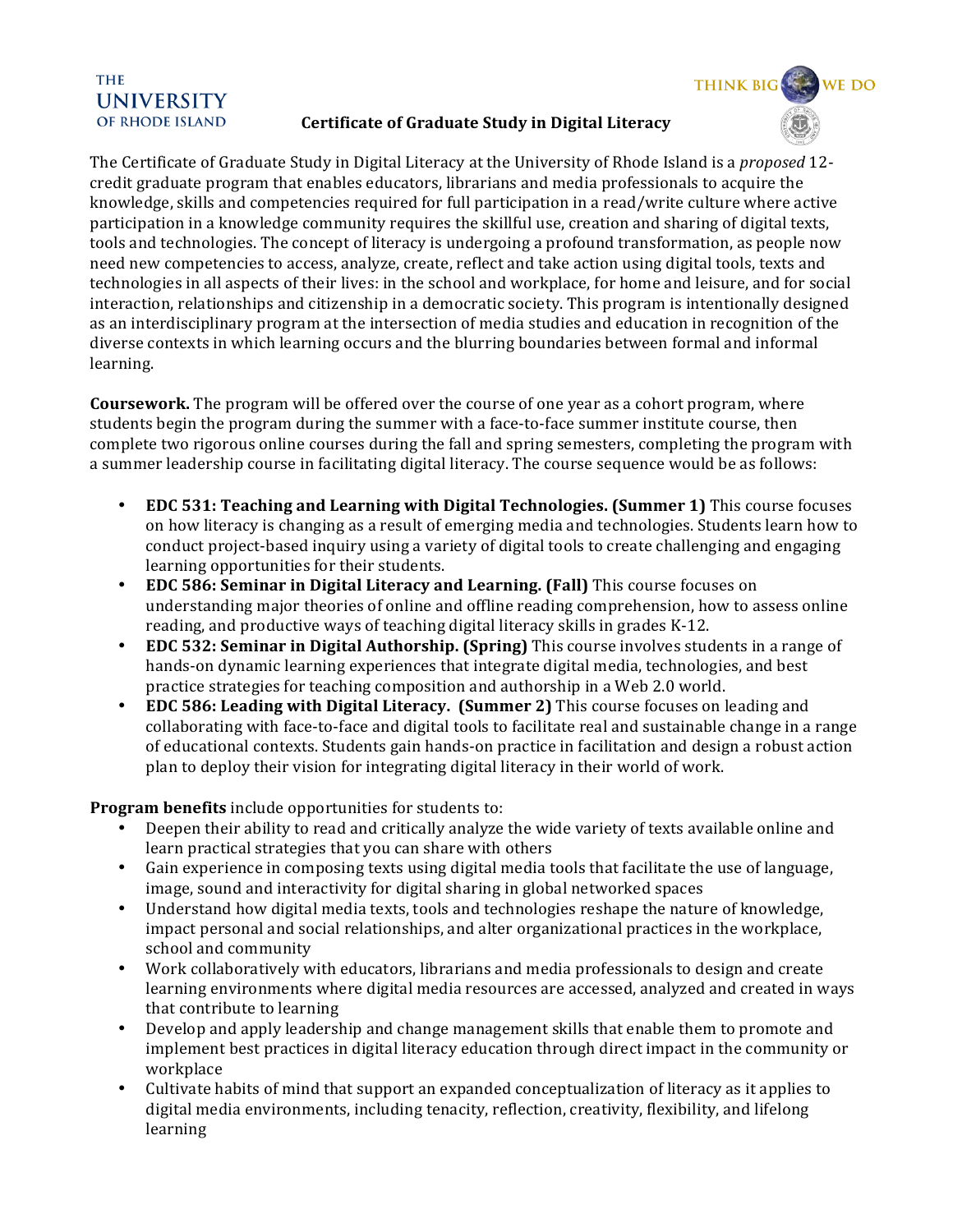## **THE UNIVERSITY** OF RHODE ISLAND

## **Certificate of Graduate Study in Digital Literacy**

**THINK BIG** 

The Certificate of Graduate Study in Digital Literacy at the University of Rhode Island is a *proposed* 12credit graduate program that enables educators, librarians and media professionals to acquire the knowledge, skills and competencies required for full participation in a read/write culture where active participation in a knowledge community requires the skillful use, creation and sharing of digital texts, tools and technologies. The concept of literacy is undergoing a profound transformation, as people now need new competencies to access, analyze, create, reflect and take action using digital tools, texts and technologies in all aspects of their lives: in the school and workplace, for home and leisure, and for social interaction, relationships and citizenship in a democratic society. This program is intentionally designed as an interdisciplinary program at the intersection of media studies and education in recognition of the diverse contexts in which learning occurs and the blurring boundaries between formal and informal learning.

**Coursework.** The program will be offered over the course of one year as a cohort program, where students begin the program during the summer with a face-to-face summer institute course, then complete two rigorous online courses during the fall and spring semesters, completing the program with a summer leadership course in facilitating digital literacy. The course sequence would be as follows:

- **EDC 531: Teaching and Learning with Digital Technologies. (Summer 1)** This course focuses on how literacy is changing as a result of emerging media and technologies. Students learn how to conduct project-based inquiry using a variety of digital tools to create challenging and engaging learning opportunities for their students.
- **EDC 586: Seminar in Digital Literacy and Learning. (Fall)** This course focuses on understanding major theories of online and offline reading comprehension, how to assess online reading, and productive ways of teaching digital literacy skills in grades K-12.
- **EDC 532: Seminar in Digital Authorship. (Spring)** This course involves students in a range of hands-on dynamic learning experiences that integrate digital media, technologies, and best practice strategies for teaching composition and authorship in a Web 2.0 world.
- **EDC 586: Leading with Digital Literacy. (Summer 2)** This course focuses on leading and collaborating with face-to-face and digital tools to facilitate real and sustainable change in a range of educational contexts. Students gain hands-on practice in facilitation and design a robust action plan to deploy their vision for integrating digital literacy in their world of work.

**Program benefits** include opportunities for students to:

- Deepen their ability to read and critically analyze the wide variety of texts available online and learn practical strategies that you can share with others
- Gain experience in composing texts using digital media tools that facilitate the use of language, image, sound and interactivity for digital sharing in global networked spaces
- Understand how digital media texts, tools and technologies reshape the nature of knowledge, impact personal and social relationships, and alter organizational practices in the workplace, school and community
- Work collaboratively with educators, librarians and media professionals to design and create learning environments where digital media resources are accessed, analyzed and created in ways that contribute to learning
- Develop and apply leadership and change management skills that enable them to promote and implement best practices in digital literacy education through direct impact in the community or workplace
- Cultivate habits of mind that support an expanded conceptualization of literacy as it applies to digital media environments, including tenacity, reflection, creativity, flexibility, and lifelong learning